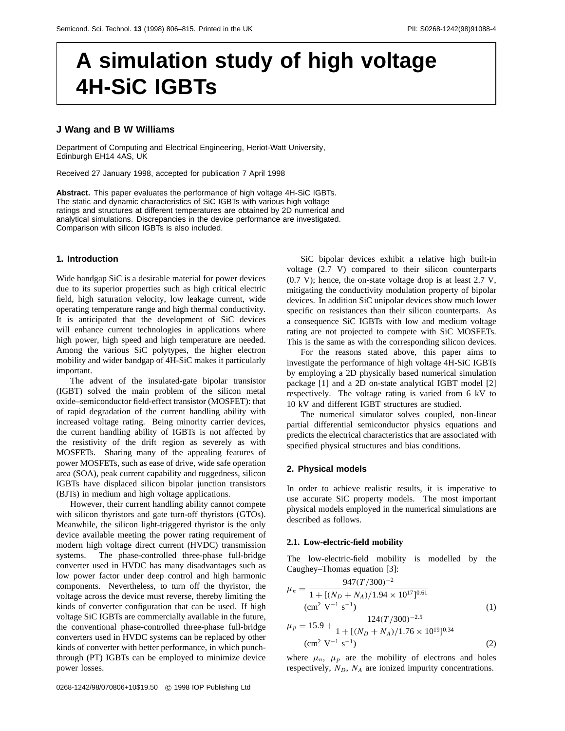# **A simulation study of high voltage 4H-SiC IGBTs**

## **J Wang and B W Williams**

Department of Computing and Electrical Engineering, Heriot-Watt University, Edinburgh EH14 4AS, UK

Received 27 January 1998, accepted for publication 7 April 1998

**Abstract.** This paper evaluates the performance of high voltage 4H-SiC IGBTs. The static and dynamic characteristics of SiC IGBTs with various high voltage ratings and structures at different temperatures are obtained by 2D numerical and analytical simulations. Discrepancies in the device performance are investigated. Comparison with silicon IGBTs is also included.

## **1. Introduction**

Wide bandgap SiC is a desirable material for power devices due to its superior properties such as high critical electric field, high saturation velocity, low leakage current, wide operating temperature range and high thermal conductivity. It is anticipated that the development of SiC devices will enhance current technologies in applications where high power, high speed and high temperature are needed. Among the various SiC polytypes, the higher electron mobility and wider bandgap of 4H-SiC makes it particularly important.

The advent of the insulated-gate bipolar transistor (IGBT) solved the main problem of the silicon metal oxide–semiconductor field-effect transistor (MOSFET): that of rapid degradation of the current handling ability with increased voltage rating. Being minority carrier devices, the current handling ability of IGBTs is not affected by the resistivity of the drift region as severely as with MOSFETs. Sharing many of the appealing features of power MOSFETs, such as ease of drive, wide safe operation area (SOA), peak current capability and ruggedness, silicon IGBTs have displaced silicon bipolar junction transistors (BJTs) in medium and high voltage applications.

However, their current handling ability cannot compete with silicon thyristors and gate turn-off thyristors (GTOs). Meanwhile, the silicon light-triggered thyristor is the only device available meeting the power rating requirement of modern high voltage direct current (HVDC) transmission systems. The phase-controlled three-phase full-bridge converter used in HVDC has many disadvantages such as low power factor under deep control and high harmonic components. Nevertheless, to turn off the thyristor, the voltage across the device must reverse, thereby limiting the kinds of converter configuration that can be used. If high voltage SiC IGBTs are commercially available in the future, the conventional phase-controlled three-phase full-bridge converters used in HVDC systems can be replaced by other kinds of converter with better performance, in which punchthrough (PT) IGBTs can be employed to minimize device power losses.

SiC bipolar devices exhibit a relative high built-in voltage (2.7 V) compared to their silicon counterparts (0.7 V); hence, the on-state voltage drop is at least 2.7 V, mitigating the conductivity modulation property of bipolar devices. In addition SiC unipolar devices show much lower specific on resistances than their silicon counterparts. As a consequence SiC IGBTs with low and medium voltage rating are not projected to compete with SiC MOSFETs. This is the same as with the corresponding silicon devices.

For the reasons stated above, this paper aims to investigate the performance of high voltage 4H-SiC IGBTs by employing a 2D physically based numerical simulation package [1] and a 2D on-state analytical IGBT model [2] respectively. The voltage rating is varied from 6 kV to 10 kV and different IGBT structures are studied.

The numerical simulator solves coupled, non-linear partial differential semiconductor physics equations and predicts the electrical characteristics that are associated with specified physical structures and bias conditions.

#### **2. Physical models**

In order to achieve realistic results, it is imperative to use accurate SiC property models. The most important physical models employed in the numerical simulations are described as follows.

## **2.1. Low-electric-field mobility**

The low-electric-field mobility is modelled by the Caughey–Thomas equation [3]:

$$
\mu_n = \frac{947(T/300)^{-2}}{1 + [(N_D + N_A)/1.94 \times 10^{17}]^{0.61}}
$$
  
\n( $\text{cm}^2 \text{ V}^{-1} \text{ s}^{-1}$ ) (1)  
\n
$$
\mu_p = 15.9 + \frac{124(T/300)^{-2.5}}{1 + [(N_D + N_A)/1.76 \times 10^{19}]^{0.34}}
$$
  
\n( $\text{cm}^2 \text{ V}^{-1} \text{ s}^{-1}$ ) (2)

where  $\mu_n$ ,  $\mu_p$  are the mobility of electrons and holes respectively,  $N_D$ ,  $N_A$  are ionized impurity concentrations.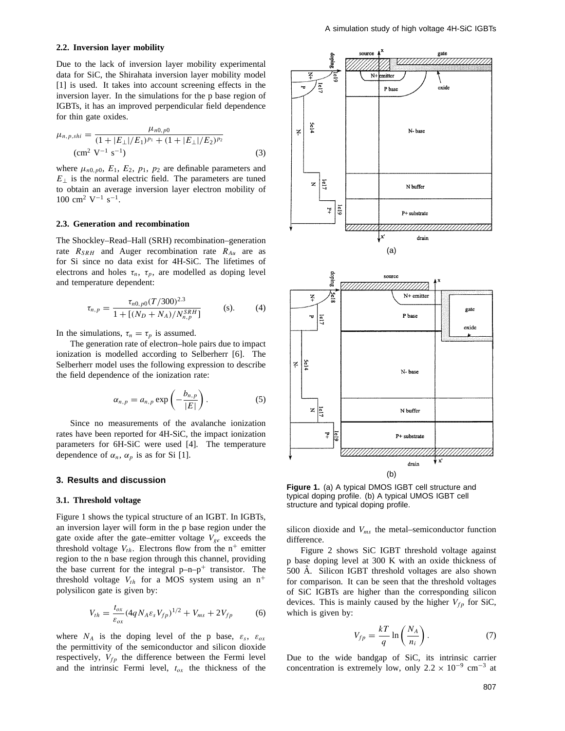#### **2.2. Inversion layer mobility**

Due to the lack of inversion layer mobility experimental data for SiC, the Shirahata inversion layer mobility model [1] is used. It takes into account screening effects in the inversion layer. In the simulations for the p base region of IGBTs, it has an improved perpendicular field dependence for thin gate oxides.

$$
\mu_{n,p,shi} = \frac{\mu_{n0,p0}}{(1+|E_{\perp}|/E_1)^{p_1} + (1+|E_{\perp}|/E_2)^{p_2}}
$$
  
(cm<sup>2</sup> V<sup>-1</sup> s<sup>-1</sup>) (3)

where  $\mu_{n0, p0}$ ,  $E_1$ ,  $E_2$ ,  $p_1$ ,  $p_2$  are definable parameters and  $E_{\perp}$  is the normal electric field. The parameters are tuned to obtain an average inversion layer electron mobility of  $100 \text{ cm}^2 \text{ V}^{-1} \text{ s}^{-1}.$ 

## **2.3. Generation and recombination**

The Shockley–Read–Hall (SRH) recombination–generation rate  $R_{SRH}$  and Auger recombination rate  $R_{Au}$  are as for Si since no data exist for 4H-SiC. The lifetimes of electrons and holes  $\tau_n$ ,  $\tau_p$ , are modelled as doping level and temperature dependent:

$$
\tau_{n,p} = \frac{\tau_{n0,p0}(T/300)^{2.3}}{1 + [(N_D + N_A)/N_{n,p}^{SRH}]} \quad (s).
$$
 (4)

In the simulations,  $\tau_n = \tau_p$  is assumed.

The generation rate of electron–hole pairs due to impact ionization is modelled according to Selberherr [6]. The Selberherr model uses the following expression to describe the field dependence of the ionization rate:

$$
\alpha_{n,p} = a_{n,p} \exp\left(-\frac{b_{n,p}}{|E|}\right). \tag{5}
$$

Since no measurements of the avalanche ionization rates have been reported for 4H-SiC, the impact ionization parameters for 6H-SiC were used [4]. The temperature dependence of  $\alpha_n$ ,  $\alpha_p$  is as for Si [1].

#### **3. Results and discussion**

#### **3.1. Threshold voltage**

Figure 1 shows the typical structure of an IGBT. In IGBTs, an inversion layer will form in the p base region under the gate oxide after the gate–emitter voltage  $V_{ge}$  exceeds the threshold voltage  $V_{th}$ . Electrons flow from the  $n^+$  emitter region to the n base region through this channel, providing the base current for the integral  $p-n-p^+$  transistor. The threshold voltage  $V_{th}$  for a MOS system using an  $n^+$ polysilicon gate is given by:

$$
V_{th} = \frac{t_{ox}}{\varepsilon_{ox}} (4q N_A \varepsilon_s V_{fp})^{1/2} + V_{ms} + 2V_{fp}
$$
 (6)

where  $N_A$  is the doping level of the p base,  $\varepsilon_s$ ,  $\varepsilon_{ox}$ the permittivity of the semiconductor and silicon dioxide respectively, *Vfp* the difference between the Fermi level and the intrinsic Fermi level,  $t_{ox}$  the thickness of the





**Figure 1.** (a) A typical DMOS IGBT cell structure and typical doping profile. (b) A typical UMOS IGBT cell structure and typical doping profile.

silicon dioxide and *Vms* the metal–semiconductor function difference.

Figure 2 shows SiC IGBT threshold voltage against p base doping level at 300 K with an oxide thickness of  $500$  Å. Silicon IGBT threshold voltages are also shown for comparison. It can be seen that the threshold voltages of SiC IGBTs are higher than the corresponding silicon devices. This is mainly caused by the higher  $V_{fp}$  for SiC, which is given by:

$$
V_{fp} = \frac{kT}{q} \ln\left(\frac{N_A}{n_i}\right). \tag{7}
$$

Due to the wide bandgap of SiC, its intrinsic carrier concentration is extremely low, only  $2.2 \times 10^{-9}$  cm<sup>-3</sup> at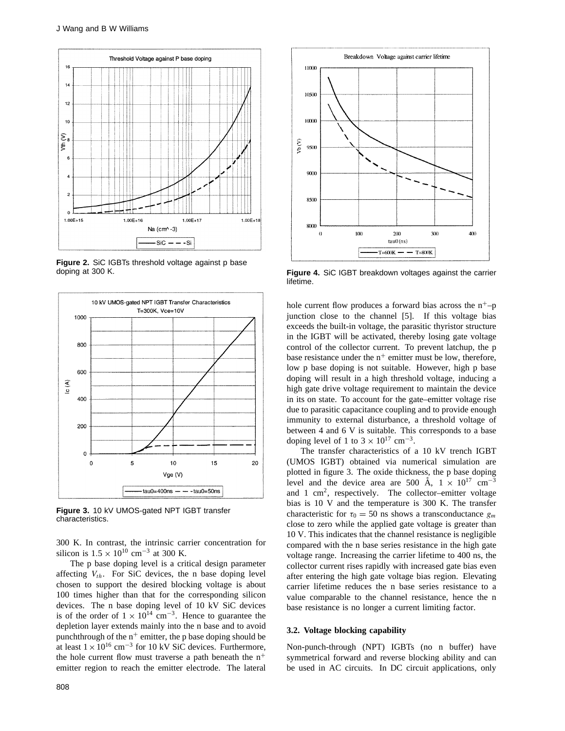

**Figure 2.** SiC IGBTs threshold voltage against p base doping at 300 K.



**Figure 3.** 10 kV UMOS-gated NPT IGBT transfer characteristics.

300 K. In contrast, the intrinsic carrier concentration for silicon is  $1.5 \times 10^{10}$  cm<sup>-3</sup> at 300 K.

The p base doping level is a critical design parameter affecting  $V_{th}$ . For SiC devices, the n base doping level chosen to support the desired blocking voltage is about 100 times higher than that for the corresponding silicon devices. The n base doping level of 10 kV SiC devices is of the order of  $1 \times 10^{14}$  cm<sup>-3</sup>. Hence to guarantee the depletion layer extends mainly into the n base and to avoid punchthrough of the  $n^+$  emitter, the p base doping should be at least  $1 \times 10^{16}$  cm<sup>-3</sup> for 10 kV SiC devices. Furthermore, the hole current flow must traverse a path beneath the  $n^+$ emitter region to reach the emitter electrode. The lateral



**Figure 4.** SiC IGBT breakdown voltages against the carrier lifetime.

hole current flow produces a forward bias across the  $n^+$ –p junction close to the channel [5]. If this voltage bias exceeds the built-in voltage, the parasitic thyristor structure in the IGBT will be activated, thereby losing gate voltage control of the collector current. To prevent latchup, the p base resistance under the  $n^+$  emitter must be low, therefore, low p base doping is not suitable. However, high p base doping will result in a high threshold voltage, inducing a high gate drive voltage requirement to maintain the device in its on state. To account for the gate–emitter voltage rise due to parasitic capacitance coupling and to provide enough immunity to external disturbance, a threshold voltage of between 4 and 6 V is suitable. This corresponds to a base doping level of 1 to  $3 \times 10^{17}$  cm<sup>-3</sup>.

The transfer characteristics of a 10 kV trench IGBT (UMOS IGBT) obtained via numerical simulation are plotted in figure 3. The oxide thickness, the p base doping level and the device area are 500 Å,  $1 \times 10^{17}$  cm<sup>-3</sup> and 1  $\text{cm}^2$ , respectively. The collector–emitter voltage bias is 10 V and the temperature is 300 K. The transfer characteristic for  $\tau_0 = 50$  ns shows a transconductance  $g_m$ close to zero while the applied gate voltage is greater than 10 V. This indicates that the channel resistance is negligible compared with the n base series resistance in the high gate voltage range. Increasing the carrier lifetime to 400 ns, the collector current rises rapidly with increased gate bias even after entering the high gate voltage bias region. Elevating carrier lifetime reduces the n base series resistance to a value comparable to the channel resistance, hence the n base resistance is no longer a current limiting factor.

#### **3.2. Voltage blocking capability**

Non-punch-through (NPT) IGBTs (no n buffer) have symmetrical forward and reverse blocking ability and can be used in AC circuits. In DC circuit applications, only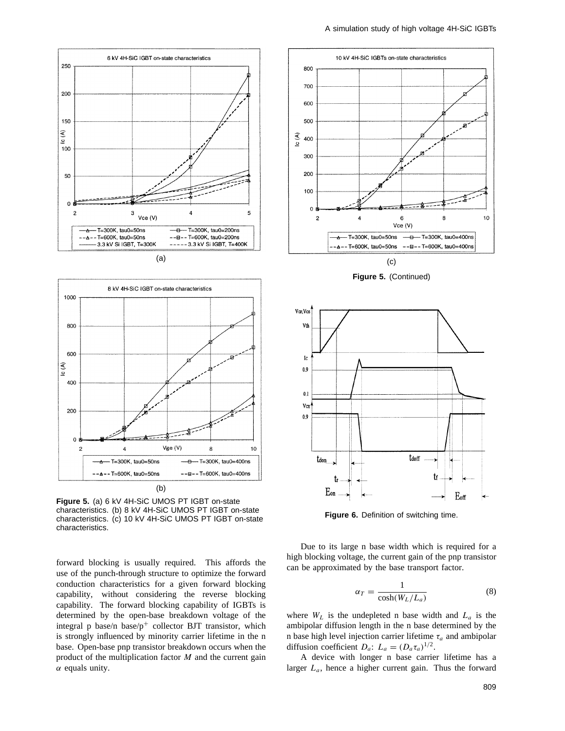



**Figure 5.** (a) 6 kV 4H-SiC UMOS PT IGBT on-state characteristics. (b) 8 kV 4H-SiC UMOS PT IGBT on-state characteristics. (c) 10 kV 4H-SiC UMOS PT IGBT on-state characteristics.

forward blocking is usually required. This affords the use of the punch-through structure to optimize the forward conduction characteristics for a given forward blocking capability, without considering the reverse blocking capability. The forward blocking capability of IGBTs is determined by the open-base breakdown voltage of the integral p base/n base/ $p^+$  collector BJT transistor, which is strongly influenced by minority carrier lifetime in the n base. Open-base pnp transistor breakdown occurs when the product of the multiplication factor *M* and the current gain *α* equals unity.



**Figure 5.** (Continued)



**Figure 6.** Definition of switching time.

Due to its large n base width which is required for a high blocking voltage, the current gain of the pnp transistor can be approximated by the base transport factor.

$$
\alpha_T = \frac{1}{\cosh(W_L/L_a)}\tag{8}
$$

where  $W_L$  is the undepleted n base width and  $L_a$  is the ambipolar diffusion length in the n base determined by the n base high level injection carrier lifetime *τa* and ambipolar diffusion coefficient  $D_a$ :  $L_a = (D_a \tau_a)^{1/2}$ .

A device with longer n base carrier lifetime has a larger *La*, hence a higher current gain. Thus the forward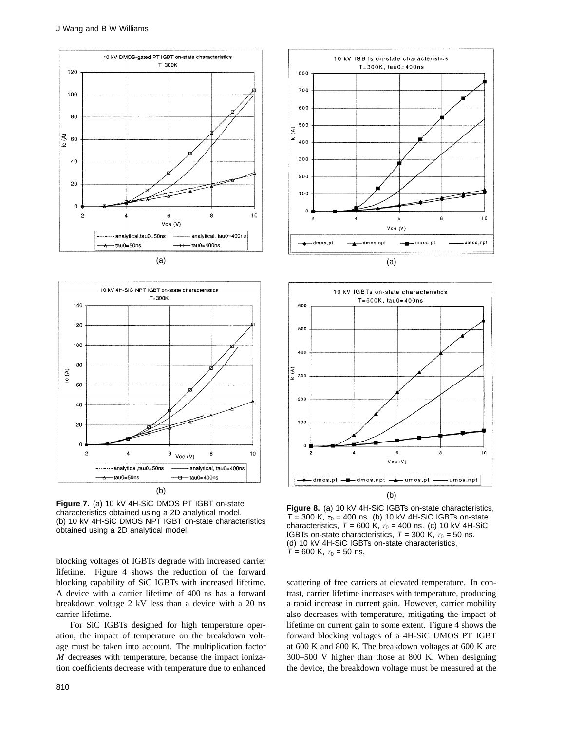



**Figure 7.** (a) 10 kV 4H-SiC DMOS PT IGBT on-state characteristics obtained using a 2D analytical model. (b) 10 kV 4H-SiC DMOS NPT IGBT on-state characteristics obtained using a 2D analytical model.

blocking voltages of IGBTs degrade with increased carrier lifetime. Figure 4 shows the reduction of the forward blocking capability of SiC IGBTs with increased lifetime. A device with a carrier lifetime of 400 ns has a forward breakdown voltage 2 kV less than a device with a 20 ns carrier lifetime.

For SiC IGBTs designed for high temperature operation, the impact of temperature on the breakdown voltage must be taken into account. The multiplication factor *M* decreases with temperature, because the impact ionization coefficients decrease with temperature due to enhanced





**Figure 8.** (a) 10 kV 4H-SiC IGBTs on-state characteristics,  $T = 300$  K,  $\tau_0 = 400$  ns. (b) 10 kV 4H-SiC IGBTs on-state characteristics,  $T = 600$  K,  $\tau_0 = 400$  ns. (c) 10 kV 4H-SiC IGBTs on-state characteristics,  $T = 300$  K,  $\tau_0 = 50$  ns. (d) 10 kV 4H-SiC IGBTs on-state characteristics,  $T = 600$  K,  $\tau_0 = 50$  ns.

scattering of free carriers at elevated temperature. In contrast, carrier lifetime increases with temperature, producing a rapid increase in current gain. However, carrier mobility also decreases with temperature, mitigating the impact of lifetime on current gain to some extent. Figure 4 shows the forward blocking voltages of a 4H-SiC UMOS PT IGBT at 600 K and 800 K. The breakdown voltages at 600 K are 300–500 V higher than those at 800 K. When designing the device, the breakdown voltage must be measured at the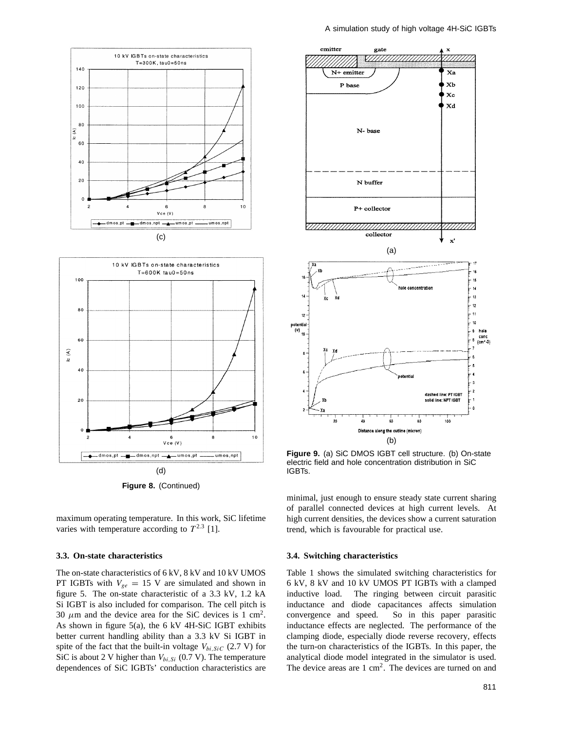





maximum operating temperature. In this work, SiC lifetime varies with temperature according to  $T^{2.3}$  [1].

## **3.3. On-state characteristics**

The on-state characteristics of 6 kV, 8 kV and 10 kV UMOS PT IGBTs with  $V_{ge} = 15$  V are simulated and shown in figure 5. The on-state characteristic of a 3.3 kV, 1.2 kA Si IGBT is also included for comparison. The cell pitch is 30  $\mu$ m and the device area for the SiC devices is 1 cm<sup>2</sup>. As shown in figure 5(a), the 6 kV 4H-SiC IGBT exhibits better current handling ability than a 3.3 kV Si IGBT in spite of the fact that the built-in voltage  $V_{bi,SiC}$  (2.7 V) for SiC is about 2 V higher than  $V_{bi,Si}$  (0.7 V). The temperature dependences of SiC IGBTs' conduction characteristics are



**Figure 9.** (a) SiC DMOS IGBT cell structure. (b) On-state electric field and hole concentration distribution in SiC IGBTs.

minimal, just enough to ensure steady state current sharing of parallel connected devices at high current levels. At high current densities, the devices show a current saturation trend, which is favourable for practical use.

#### **3.4. Switching characteristics**

Table 1 shows the simulated switching characteristics for 6 kV, 8 kV and 10 kV UMOS PT IGBTs with a clamped inductive load. The ringing between circuit parasitic inductance and diode capacitances affects simulation convergence and speed. So in this paper parasitic inductance effects are neglected. The performance of the clamping diode, especially diode reverse recovery, effects the turn-on characteristics of the IGBTs. In this paper, the analytical diode model integrated in the simulator is used. The device areas are  $1 \text{ cm}^2$ . The devices are turned on and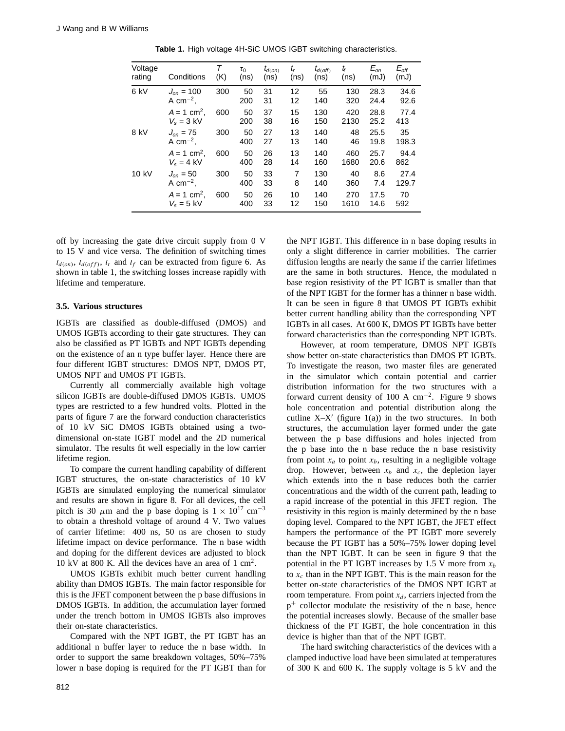| Voltage<br>rating | Conditions                                                             | $\tau$<br>(K) | $\tau_0$<br>(ns) | $t_{d(on)}$<br>(ns) | t,<br>(ns) | $t_{d(Off)}$<br>(ns) | tf<br>(ns)  | $E_{on}$<br>(mJ) | $E_{\textit{\scriptsize off}}$<br>(mJ) |
|-------------------|------------------------------------------------------------------------|---------------|------------------|---------------------|------------|----------------------|-------------|------------------|----------------------------------------|
| 6 kV              | $J_{\scriptscriptstyle OP} = 100$<br>A cm <sup><math>-2</math></sup> . | 300           | 50<br>200        | 31<br>31            | 12<br>12   | 55<br>140            | 130<br>320  | 28.3<br>24.4     | 34.6<br>92.6                           |
|                   | $A = 1$ cm <sup>2</sup> .<br>$V_s = 3$ kV                              | 600           | 50<br>200        | 37<br>38            | 15<br>16   | 130<br>150           | 420<br>2130 | 28.8<br>25.2     | 77.4<br>413                            |
| 8 kV              | $J_{on} = 75$<br>A cm <sup><math>-2</math></sup> .                     | 300           | 50<br>400        | 27<br>27            | 13<br>13   | 140<br>140           | 48<br>46    | 25.5<br>19.8     | 35<br>198.3                            |
|                   | $A = 1$ cm <sup>2</sup> .<br>$V_e = 4$ kV                              | 600           | 50<br>400        | 26<br>28            | 13<br>14   | 140<br>160           | 460<br>1680 | 25.7<br>20.6     | 94.4<br>862                            |
| 10 kV             | $J_{on} = 50$<br>A cm <sup><math>-2</math></sup> .                     | 300           | 50<br>400        | 33<br>33            | 7<br>8     | 130<br>140           | 40<br>360   | 8.6<br>7.4       | 27.4<br>129.7                          |
|                   | $A = 1$ cm <sup>2</sup> .<br>$V_s = 5$ kV                              | 600           | 50<br>400        | 26<br>33            | 10<br>12   | 140<br>150           | 270<br>1610 | 17.5<br>14.6     | 70<br>592                              |

**Table 1.** High voltage 4H-SiC UMOS IGBT switching characteristics.

off by increasing the gate drive circuit supply from 0 V to 15 V and vice versa. The definition of switching times  $t_{d(on)}$ ,  $t_{d(off)}$ ,  $t_r$  and  $t_f$  can be extracted from figure 6. As shown in table 1, the switching losses increase rapidly with lifetime and temperature.

#### **3.5. Various structures**

IGBTs are classified as double-diffused (DMOS) and UMOS IGBTs according to their gate structures. They can also be classified as PT IGBTs and NPT IGBTs depending on the existence of an n type buffer layer. Hence there are four different IGBT structures: DMOS NPT, DMOS PT, UMOS NPT and UMOS PT IGBTs.

Currently all commercially available high voltage silicon IGBTs are double-diffused DMOS IGBTs. UMOS types are restricted to a few hundred volts. Plotted in the parts of figure 7 are the forward conduction characteristics of 10 kV SiC DMOS IGBTs obtained using a twodimensional on-state IGBT model and the 2D numerical simulator. The results fit well especially in the low carrier lifetime region.

To compare the current handling capability of different IGBT structures, the on-state characteristics of 10 kV IGBTs are simulated employing the numerical simulator and results are shown in figure 8. For all devices, the cell pitch is 30  $\mu$ m and the p base doping is 1 × 10<sup>17</sup> cm<sup>-3</sup> to obtain a threshold voltage of around 4 V. Two values of carrier lifetime: 400 ns, 50 ns are chosen to study lifetime impact on device performance. The n base width and doping for the different devices are adjusted to block 10 kV at 800 K. All the devices have an area of 1 cm2.

UMOS IGBTs exhibit much better current handling ability than DMOS IGBTs. The main factor responsible for this is the JFET component between the p base diffusions in DMOS IGBTs. In addition, the accumulation layer formed under the trench bottom in UMOS IGBTs also improves their on-state characteristics.

Compared with the NPT IGBT, the PT IGBT has an additional n buffer layer to reduce the n base width. In order to support the same breakdown voltages, 50%–75% lower n base doping is required for the PT IGBT than for

the NPT IGBT. This difference in n base doping results in only a slight difference in carrier mobilities. The carrier diffusion lengths are nearly the same if the carrier lifetimes are the same in both structures. Hence, the modulated n base region resistivity of the PT IGBT is smaller than that of the NPT IGBT for the former has a thinner n base width. It can be seen in figure 8 that UMOS PT IGBTs exhibit better current handling ability than the corresponding NPT IGBTs in all cases. At 600 K, DMOS PT IGBTs have better forward characteristics than the corresponding NPT IGBTs.

However, at room temperature, DMOS NPT IGBTs show better on-state characteristics than DMOS PT IGBTs. To investigate the reason, two master files are generated in the simulator which contain potential and carrier distribution information for the two structures with a forward current density of 100 A  $cm^{-2}$ . Figure 9 shows hole concentration and potential distribution along the cutline  $X-X'$  (figure 1(a)) in the two structures. In both structures, the accumulation layer formed under the gate between the p base diffusions and holes injected from the p base into the n base reduce the n base resistivity from point  $x_a$  to point  $x_b$ , resulting in a negligible voltage drop. However, between  $x_b$  and  $x_c$ , the depletion layer which extends into the n base reduces both the carrier concentrations and the width of the current path, leading to a rapid increase of the potential in this JFET region. The resistivity in this region is mainly determined by the n base doping level. Compared to the NPT IGBT, the JFET effect hampers the performance of the PT IGBT more severely because the PT IGBT has a 50%–75% lower doping level than the NPT IGBT. It can be seen in figure 9 that the potential in the PT IGBT increases by 1.5 V more from  $x_b$ to  $x_c$  than in the NPT IGBT. This is the main reason for the better on-state characteristics of the DMOS NPT IGBT at room temperature. From point  $x_d$ , carriers injected from the  $p^+$  collector modulate the resistivity of the n base, hence the potential increases slowly. Because of the smaller base thickness of the PT IGBT, the hole concentration in this device is higher than that of the NPT IGBT.

The hard switching characteristics of the devices with a clamped inductive load have been simulated at temperatures of 300 K and 600 K. The supply voltage is 5 kV and the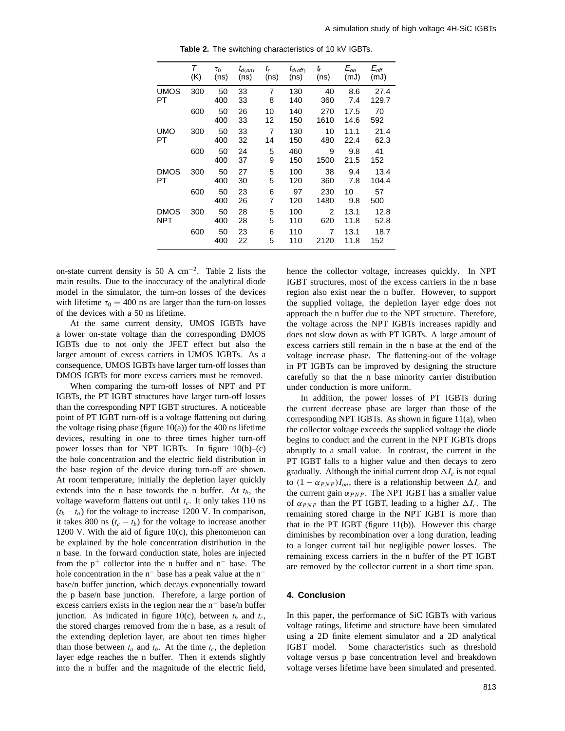|             | Τ   | $\tau_0$  | $t_{d(on)}$ | t,       | $t_{d(\text{off})}$ | tf          | $E_{on}$     | $E_{\textit{\tiny off}}$ |
|-------------|-----|-----------|-------------|----------|---------------------|-------------|--------------|--------------------------|
|             | (K) | (ns)      | (ns)        | (ns)     | (ns)                | (ns)        | (mJ)         | (mJ)                     |
| <b>UMOS</b> | 300 | 50        | 33          | 7        | 130                 | 40          | 8.6          | 27.4                     |
| PT          |     | 400       | 33          | 8        | 140                 | 360         | 7.4          | 129.7                    |
|             | 600 | 50<br>400 | 26<br>33    | 10<br>12 | 140<br>150          | 270<br>1610 | 17.5<br>14.6 | 70<br>592                |
| <b>UMO</b>  | 300 | 50        | 33          | 7        | 130                 | 10          | 11.1         | 21.4                     |
| PT          |     | 400       | 32          | 14       | 150                 | 480         | 22.4         | 62.3                     |
|             | 600 | 50<br>400 | 24<br>37    | 5<br>9   | 460<br>150          | 9<br>1500   | 9.8<br>21.5  | 41<br>152                |
| <b>DMOS</b> | 300 | 50        | 27          | 5        | 100                 | 38          | 9.4          | 13.4                     |
| PT          |     | 400       | 30          | 5        | 120                 | 360         | 7.8          | 104.4                    |
|             | 600 | 50<br>400 | 23<br>26    | 6<br>7   | 97<br>120           | 230<br>1480 | 10<br>9.8    | 57<br>500                |
| DMOS        | 300 | 50        | 28          | 5        | 100                 | 2           | 13.1         | 12.8                     |
| <b>NPT</b>  |     | 400       | 28          | 5        | 110                 | 620         | 11.8         | 52.8                     |
|             | 600 | 50<br>400 | 23<br>22    | 6<br>5   | 110<br>110          | 7<br>2120   | 13.1<br>11.8 | 18.7<br>152              |

**Table 2.** The switching characteristics of 10 kV IGBTs.

on-state current density is 50 A cm−2. Table 2 lists the main results. Due to the inaccuracy of the analytical diode model in the simulator, the turn-on losses of the devices with lifetime  $\tau_0 = 400$  ns are larger than the turn-on losses of the devices with a 50 ns lifetime.

At the same current density, UMOS IGBTs have a lower on-state voltage than the corresponding DMOS IGBTs due to not only the JFET effect but also the larger amount of excess carriers in UMOS IGBTs. As a consequence, UMOS IGBTs have larger turn-off losses than DMOS IGBTs for more excess carriers must be removed.

When comparing the turn-off losses of NPT and PT IGBTs, the PT IGBT structures have larger turn-off losses than the corresponding NPT IGBT structures. A noticeable point of PT IGBT turn-off is a voltage flattening out during the voltage rising phase (figure  $10(a)$ ) for the 400 ns lifetime devices, resulting in one to three times higher turn-off power losses than for NPT IGBTs. In figure 10(b)–(c) the hole concentration and the electric field distribution in the base region of the device during turn-off are shown. At room temperature, initially the depletion layer quickly extends into the n base towards the n buffer. At  $t<sub>b</sub>$ , the voltage waveform flattens out until  $t_c$ . It only takes 110 ns  $(t_b - t_a)$  for the voltage to increase 1200 V. In comparison, it takes 800 ns  $(t_c - t_b)$  for the voltage to increase another 1200 V. With the aid of figure 10(c), this phenomenon can be explained by the hole concentration distribution in the n base. In the forward conduction state, holes are injected from the  $p^+$  collector into the n buffer and n<sup>−</sup> base. The hole concentration in the n<sup>−</sup> base has a peak value at the n<sup>−</sup> base/n buffer junction, which decays exponentially toward the p base/n base junction. Therefore, a large portion of excess carriers exists in the region near the n<sup>−</sup> base/n buffer junction. As indicated in figure 10(c), between  $t_b$  and  $t_c$ , the stored charges removed from the n base, as a result of the extending depletion layer, are about ten times higher than those between  $t_a$  and  $t_b$ . At the time  $t_c$ , the depletion layer edge reaches the n buffer. Then it extends slightly into the n buffer and the magnitude of the electric field,

hence the collector voltage, increases quickly. In NPT IGBT structures, most of the excess carriers in the n base region also exist near the n buffer. However, to support the supplied voltage, the depletion layer edge does not approach the n buffer due to the NPT structure. Therefore, the voltage across the NPT IGBTs increases rapidly and does not slow down as with PT IGBTs. A large amount of excess carriers still remain in the n base at the end of the voltage increase phase. The flattening-out of the voltage in PT IGBTs can be improved by designing the structure carefully so that the n base minority carrier distribution under conduction is more uniform.

In addition, the power losses of PT IGBTs during the current decrease phase are larger than those of the corresponding NPT IGBTs. As shown in figure 11(a), when the collector voltage exceeds the supplied voltage the diode begins to conduct and the current in the NPT IGBTs drops abruptly to a small value. In contrast, the current in the PT IGBT falls to a higher value and then decays to zero gradually. Although the initial current drop  $\Delta I_c$  is not equal to  $(1 - \alpha_{PNP})I_{on}$ , there is a relationship between  $\Delta I_c$  and the current gain  $\alpha_{PNP}$ . The NPT IGBT has a smaller value of  $\alpha_{PNP}$  than the PT IGBT, leading to a higher  $\Delta I_c$ . The remaining stored charge in the NPT IGBT is more than that in the PT IGBT (figure  $11(b)$ ). However this charge diminishes by recombination over a long duration, leading to a longer current tail but negligible power losses. The remaining excess carriers in the n buffer of the PT IGBT are removed by the collector current in a short time span.

## **4. Conclusion**

In this paper, the performance of SiC IGBTs with various voltage ratings, lifetime and structure have been simulated using a 2D finite element simulator and a 2D analytical IGBT model. Some characteristics such as threshold voltage versus p base concentration level and breakdown voltage verses lifetime have been simulated and presented.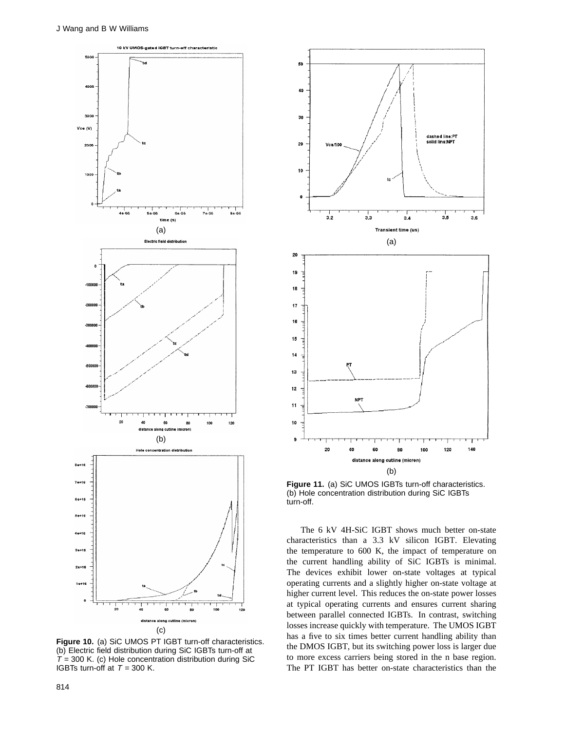

**Figure 10.** (a) SiC UMOS PT IGBT turn-off characteristics. (b) Electric field distribution during SiC IGBTs turn-off at  $T = 300$  K. (c) Hole concentration distribution during SiC IGBTs turn-off at  $T = 300$  K.



**Figure 11.** (a) SiC UMOS IGBTs turn-off characteristics. (b) Hole concentration distribution during SiC IGBTs turn-off.

The 6 kV 4H-SiC IGBT shows much better on-state characteristics than a 3.3 kV silicon IGBT. Elevating the temperature to 600 K, the impact of temperature on the current handling ability of SiC IGBTs is minimal. The devices exhibit lower on-state voltages at typical operating currents and a slightly higher on-state voltage at higher current level. This reduces the on-state power losses at typical operating currents and ensures current sharing between parallel connected IGBTs. In contrast, switching losses increase quickly with temperature. The UMOS IGBT has a five to six times better current handling ability than the DMOS IGBT, but its switching power loss is larger due to more excess carriers being stored in the n base region. The PT IGBT has better on-state characteristics than the